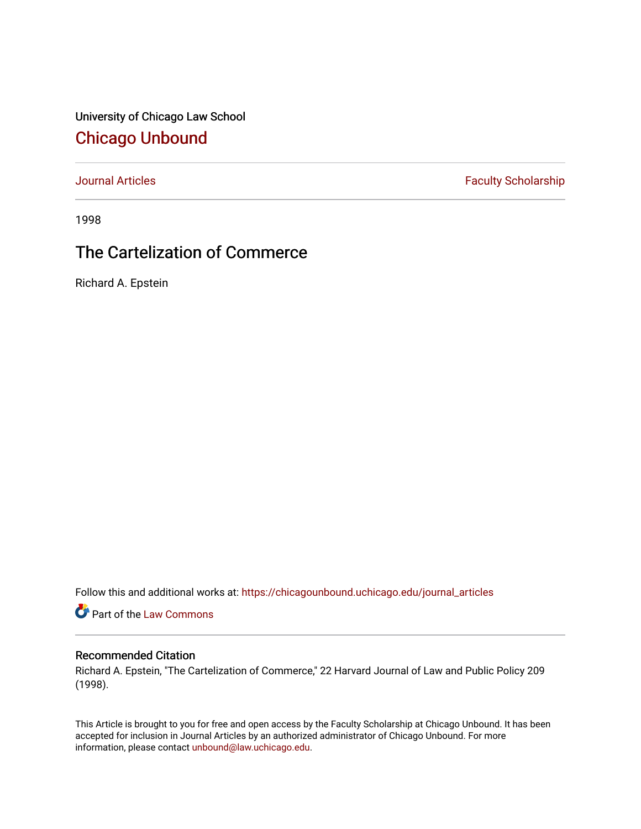University of Chicago Law School [Chicago Unbound](https://chicagounbound.uchicago.edu/)

[Journal Articles](https://chicagounbound.uchicago.edu/journal_articles) **Faculty Scholarship Faculty Scholarship** 

1998

# The Cartelization of Commerce

Richard A. Epstein

Follow this and additional works at: [https://chicagounbound.uchicago.edu/journal\\_articles](https://chicagounbound.uchicago.edu/journal_articles?utm_source=chicagounbound.uchicago.edu%2Fjournal_articles%2F1254&utm_medium=PDF&utm_campaign=PDFCoverPages) 

Part of the [Law Commons](http://network.bepress.com/hgg/discipline/578?utm_source=chicagounbound.uchicago.edu%2Fjournal_articles%2F1254&utm_medium=PDF&utm_campaign=PDFCoverPages)

### Recommended Citation

Richard A. Epstein, "The Cartelization of Commerce," 22 Harvard Journal of Law and Public Policy 209 (1998).

This Article is brought to you for free and open access by the Faculty Scholarship at Chicago Unbound. It has been accepted for inclusion in Journal Articles by an authorized administrator of Chicago Unbound. For more information, please contact [unbound@law.uchicago.edu](mailto:unbound@law.uchicago.edu).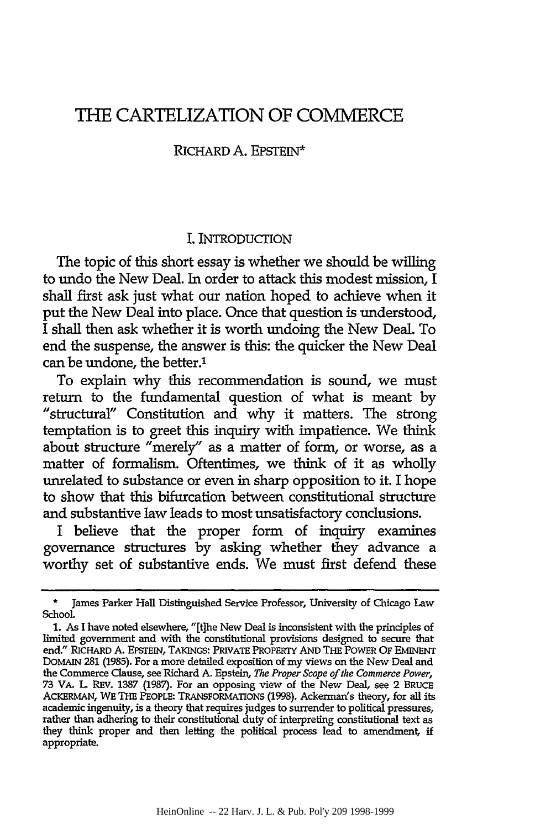## THE CARTELIZATION OF COMMERCE

#### RICHARD **A.** EPSTEIN\*

#### I. INTRODUCTION

The topic of this short essay is whether we should be willing to undo the New Deal. In order to attack this modest mission, I shall first ask just what our nation hoped to achieve when it put the New Deal into place. Once that question is understood, I shall then ask whether it is worth undoing the New Deal. To end the suspense, the answer is this: the quicker the New Deal can be undone, the better.'

To explain why this recommendation is sound, we must return to the fundamental question of what is meant by "structural" Constitution and why it matters. The strong temptation is to greet this inquiry with impatience. We think about structure "merely" as a matter of form, or worse, as a matter of formalism. Oftentimes, we think of it as wholly unrelated to substance or even in sharp opposition to it. I hope to show that this bifurcation between constitutional structure and substantive law leads to most unsatisfactory conclusions.

I believe that the proper form of inquiry examines governance structures by asking whether they advance a worthy set of substantive ends. We must first defend these

**<sup>\*</sup>** James Parker Hall Distinguished Service Professor, University of Chicago Law School.

<sup>1.</sup> As I have noted elsewhere, "[tihe New Deal is inconsistent with the principles of limited government and with the constitutional provisions designed to secure that end." RICHARD A. EPSTEIN, TAKINGS: PRVATE PROPERTY AND THE POWER OF EMINENT DOMAIN **281** (1985). For a more detailed exposition of my views on the New Deal and the Commerce Clause, see Richard **A.** Epstein, *The Proper Scope of the Commerce Power,* 73 VA. L REv. **1387 (1987).** For an opposing view of the New Deal, see 2 BRUCE ACKERMAN, WE THE PEOPLE: TRANSFORMATIONS (1998). Ackerman's theory, for all its academic ingenuity, is a theory that requires judges to surrender to political pressures, rather than adhering to their constitutional duty of interpreting constitutional text as they think proper and then letting the political process lead to amendment, if appropriate.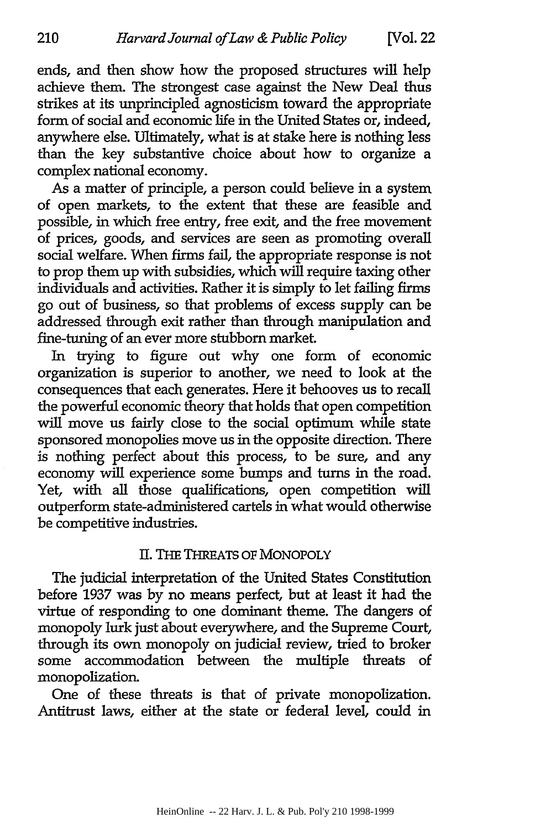ends, and then show how the proposed structures will help achieve them. The strongest case against the New Deal thus strikes at its unprincipled agnosticism toward the appropriate form of social and economic life in the United States or, indeed, anywhere else. Ultimately, what is at stake here is nothing less than the key substantive choice about how to organize a complex national economy.

As a matter of principle, a person could believe in a system of open markets, to the extent that these are feasible and possible, in which free entry, free exit, and the free movement of prices, goods, and services are seen as promoting overall social welfare. When firms fail, the appropriate response is not to prop them up with subsidies, which will require taxing other individuals and activities. Rather it is simply to let failing firms go out of business, so that problems of excess supply can be addressed through exit rather than through manipulation and fine-tuning of an ever more stubborn market

In trying to figure out why one form of economic organization is superior to another, we need to look at the consequences that each generates. Here it behooves us to recall the powerful economic theory that holds that open competition will move us fairly dose to the social optimum while state sponsored monopolies move us in the opposite direction. There is nothing perfect about this process, to be sure, and any economy will experience some bumps and turns in the road. Yet, with all those qualifications, open competition will outperform state-administered cartels in what would otherwise be competitive industries.

#### **II. THE THREATS OF MONOPOLY**

The judicial interpretation of the United States Constitution before 1937 was by no means perfect, but at least it had the virtue of responding to one dominant theme. The dangers of monopoly lurk just about everywhere, and the Supreme Court, through its own monopoly on judicial review, tried to broker some accommodation between the multiple threats of monopolization.

One of these threats is that of private monopolization. Antitrust laws, either at the state or federal level, could in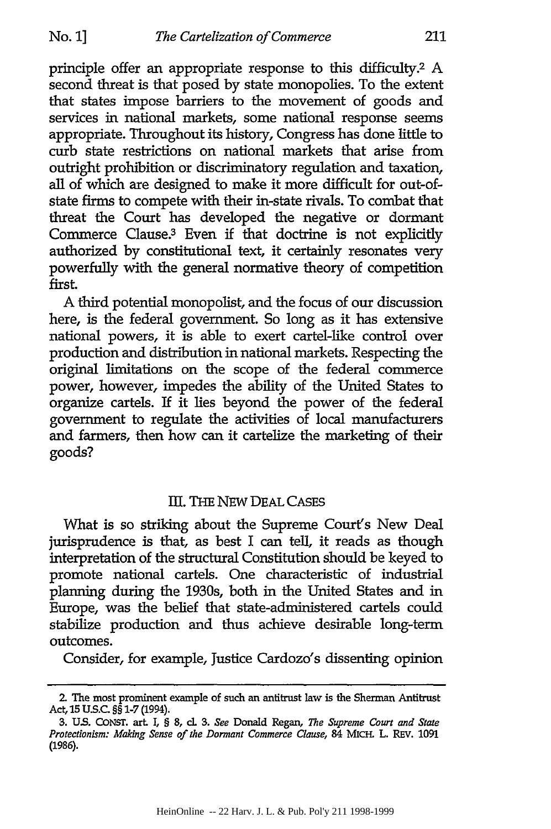principle offer an appropriate response to this difficulty.2 A second threat is that posed by state monopolies. To the extent that states impose barriers to the movement of goods and services in national markets, some national response seems appropriate. Throughout its history, Congress has done little to curb state restrictions on national markets that arise from outright prohibition or discriminatory regulation and taxation, all of which are designed to make it more difficult for out-ofstate firms to compete with their in-state rivals. To combat that threat the Court has developed the negative or dormant Commerce Clause.3 Even if that doctrine is not explicitly authorized by constitutional text, it certainly resonates very powerfully with the general normative theory of competition first.

A third potential monopolist, and the focus of our discussion here, is the federal government. So long as it has extensive national powers, it is able to exert cartel-like control over production and distribution in national markets. Respecting the original limitations on the scope of the federal commerce power, however, impedes the ability of the United States to organize cartels. If it lies beyond the power of the federal government to regulate the activities of local manufacturers and farmers, then how can it cartelize the marketing of their goods?

#### III. THE NEW DEAL CASES

What is so striking about the Supreme Court's New Deal jurisprudence is that, as best I can tell, it reads as though interpretation of the structural Constitution should be keyed to promote national cartels. One characteristic of industrial planning during the 1930s, both in the United States and in Europe, was the belief that state-administered cartels could stabilize production and thus achieve desirable long-term outcomes.

Consider, for example, Justice Cardozo's dissenting opinion

<sup>2.</sup> The most prominent example of such an antitrust law is the Sherman Antitrust Act, **15** US.C. §§ **1-7** (1994).

**<sup>3.</sup> US. CONST.** art *I,* § **8,** cl **3.** *See* Donald Regan, *The Supreme Court and State Protectionism: Making Sense of the Dormant Commerce Clause, 84 MICH. L. REV. 1091* (1986).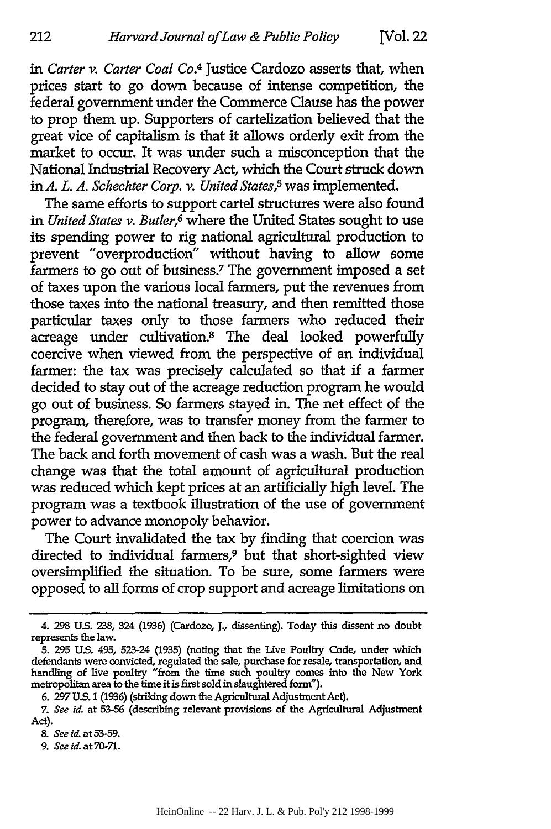*in Carter v. Carter Coal Co.4* Justice Cardozo asserts that, when prices start to go down because of intense competition, the federal government under the Commerce Clause has the power to prop them up. Supporters of cartelization believed that the great vice of capitalism is that it allows orderly exit from the market to occur. It was under such a misconception that the National Industrial Recovery Act, which the Court struck down in *A. L. A. Schechter Corp. v. United States,5 was* implemented.

The same efforts to support cartel structures were also found *in United States v. Butler,6* where the United States sought to use its spending power to rig national agricultural production to prevent "overproduction" without having to allow some farmers to go out of business.7 The government imposed a set of taxes upon the various local farmers, put the revenues from those taxes into the national treasury, and then remitted those particular taxes only to those farmers who reduced their acreage under cultivation.8 The deal looked powerfully coercive when viewed from the perspective of an individual farmer: the tax was precisely calculated so that if a farmer decided to stay out of the acreage reduction program he would go out of business. So farmers stayed in. The net effect of the program, therefore, was to transfer money from the farmer to the federal government and then back to the individual farmer. The back and forth movement of cash was a wash. But the real change was that the total amount of agricultural production was reduced which kept prices at an artificially high level. The program was a textbook illustration of the use of government power to advance monopoly behavior.

The Court invalidated the tax **by** finding that coercion was directed to individual farmers,9 but that short-sighted view oversimplified the situation. To be sure, some farmers were opposed to all forms of crop support and acreage limitations on

*8. See id.* at **53-59.**

212

*9. See id.* at **70-71.**

<sup>4.</sup> **298 US. 238,** 324 **(1936)** (Cardozo, **J.,** dissenting). Today this dissent no doubt represents the law.

**<sup>5. 295</sup> US.** 495, 523-24 (1935) (noting that the Live Poultry Code, under which defendants were convicted, regulated the sale, purchase for resale, transportation, and handling of live poultry "from the time such poultry comes into the New York metropolitan area to the time it is first sold in slaughtered form").

**<sup>6. 297</sup> US. 1 (1936)** (striking down the Agricultural Adjustment Act).

*<sup>7.</sup> See id.* at **53-56** (describing relevant provisions of the Agricultural Adjustment Act).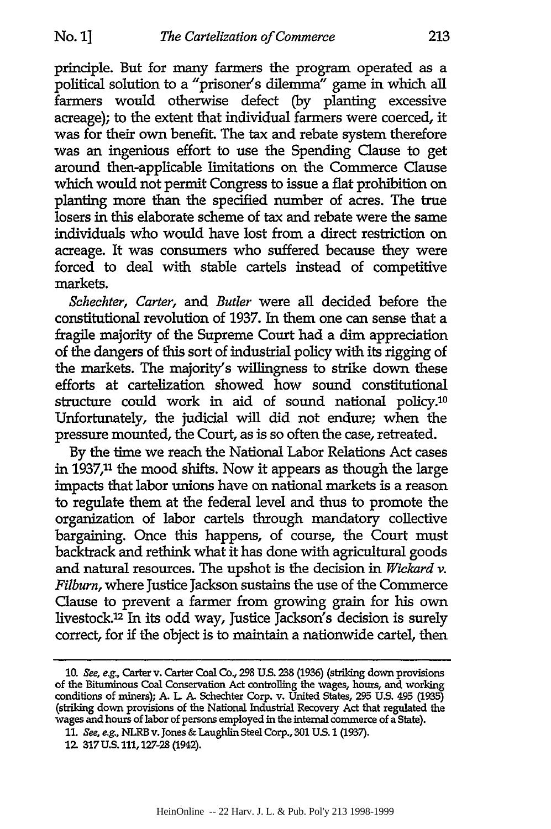principle. But for many farmers the program operated as a political solution to a "prisoner's dilemma" game in which all farmers would otherwise defect (by planting excessive acreage); to the extent that individual farmers were coerced, it was for their own benefit. The tax and rebate system therefore was an ingenious effort to use the Spending Clause to get around then-applicable limitations on the Commerce Clause which would not permit Congress to issue a flat prohibition on planting more than the specified number of acres. **The** true losers in this elaborate scheme of tax and rebate were the same individuals who would have lost from a direct restriction on acreage. It was consumers who suffered because they were forced to deal with stable cartels instead of competitive markets.

*Schechter, Carter, and Butler* were all decided before the constitutional revolution of **1937.** In them one can sense that a fragile majority of the Supreme Court had a dim appreciation of the dangers of **this** sort of industrial policy with its rigging of the markets. The majority's willingness to strike down these efforts at cartelization showed how sound constitutional structure could work in aid of sound national policy.<sup>10</sup> Unfortunately, the judicial will did not endure; when the pressure mounted, the Court, as is so often the case, retreated.

**By** the time we reach the National Labor Relations Act cases in **1937,11** the mood shifts. Now it appears as though the large impacts that labor unions have on national markets is a reason to regulate them at the federal level and thus to promote the organization of labor cartels through mandatory collective bargaining. Once **this** happens, of course, the Court must backtrack and rethink what it has done with agricultural goods and natural resources. The upshot is the decision in *Wickard v. Filburn,* where Justice Jackson sustains the use of the Commerce Clause to prevent a farmer from growing grain for his own livestock.<sup>12</sup> In its odd way, Justice Jackson's decision is surely correct, for **if** the object is to maintain a nationwide cartel, then

**<sup>10.</sup>** See, e.g, Carter v. Carter Coal Co., **298 US. 238 (1936)** (striking down provisions of the Bituminous Coal Conservation Act controlling the wages, hours, and working conditions of miners); **A. L A.** Schechter Corp. v. United States, **295 US.** 495 **(1935)** (striking down provisions of the National Industrial Recovery Act that regulated the wages and hours of labor of persons employed in the internal commerce of a State).

*<sup>11.</sup>* See, e.g., NLRB v. Jones **&** Laughlin Steel Corp., **301 US. 1 (1937).**

**<sup>12. 317</sup> U.S. 111, 127-28** (1942).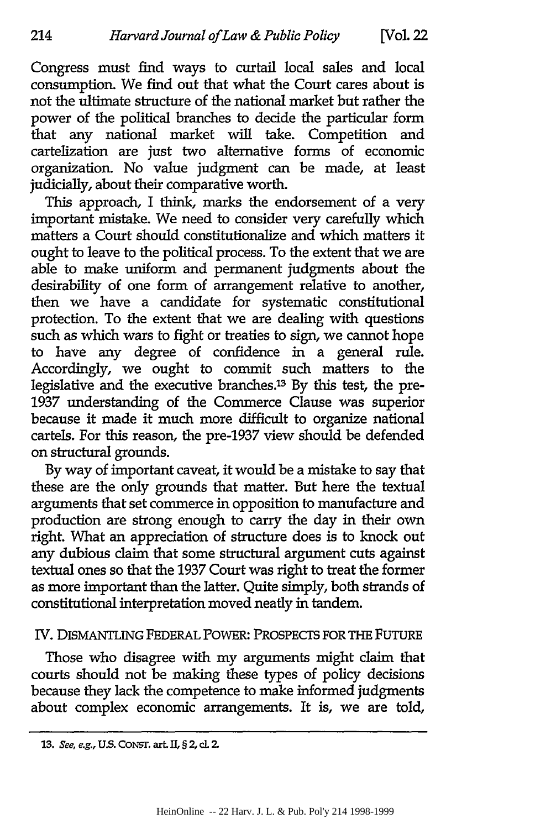Congress must find ways to curtail local sales and local consumption. We find out that what the Court cares about is not the ultimate structure of the national market but rather the power of the political branches to decide the particular form that any national market will take. Competition and cartelization are just two alternative forms of economic organization. No value judgment can be made, at least judicially, about their comparative worth.

This approach, I think, marks the endorsement of a very important mistake. We need to consider very carefully which matters a Court should constitutionalize and which matters it ought to leave to the political process. To the extent that we are able to make uniform and permanent judgments about the desirability of one form of arrangement relative to another, then we have a candidate for systematic constitutional protection. To the extent that we are dealing with questions such as which wars to fight or treaties to sign, we cannot hope to have any degree of confidence in a general rule. Accordingly, we ought to commit such matters to the legislative and the executive branches.13 By this test, the pre-1937 understanding of the Commerce Clause was superior because it made it much more difficult to organize national cartels. For this reason, the pre-1937 view should be defended on structural grounds.

By way of important caveat, it would be a mistake to say that these are the only grounds that matter. But here the textual arguments that set commerce in opposition to manufacture and production are strong enough to carry the day in their own right. What an appreciation of structure does is to knock out any dubious claim that some structural argument cuts against textual ones so that the 1937 Court was right to treat the former as more important than the latter. Quite simply, both strands of constitutional interpretation moved neatly in tandem.

#### IV. DISMANTLING FEDERAL POWER: PROSPECTS FOR THE FUTURE

Those who disagree with my arguments might claim that courts should not be making these types of policy decisions because they lack the competence to make informed judgments about complex economic arrangements. It is, we are told,

<sup>13.</sup> *See, e.g., U.S.* CONST. art. II, § 2, cl. 2.

HeinOnline -- 22 Harv. J. L. & Pub. Pol'y 214 1998-1999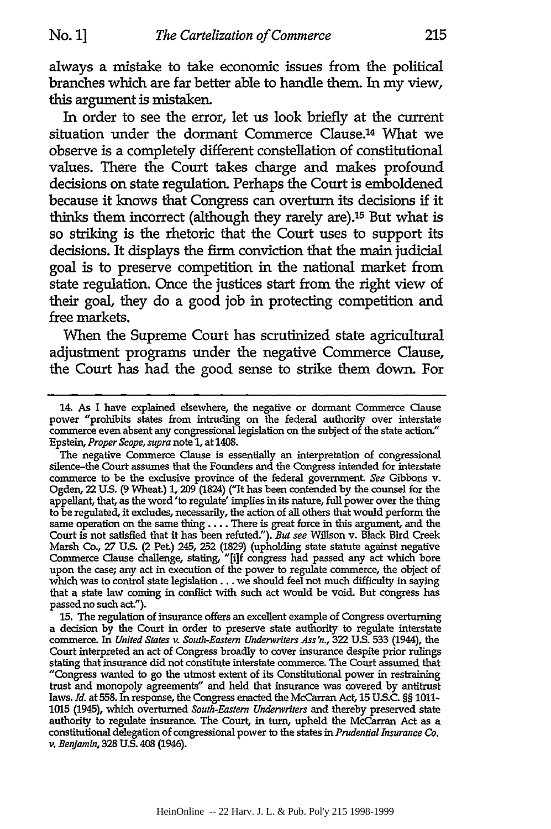always a mistake to take economic issues from the political branches which are far better able to handle them. In my view, this argument is mistaken.

In order to see the error, let us look briefly at the current situation under the dormant Commerce Clause.14 What we observe is a completely different constellation of constitutional values. There the Court takes charge and makes profound decisions on state regulation. Perhaps the Court is emboldened because it knows that Congress can overturn its decisions if it thinks them incorrect (although they rarely are).<sup>15</sup> But what is so striking is the rhetoric that the Court uses to support its decisions. It displays the firm conviction that the main judicial goal is to preserve competition in the national market from state regulation. Once the justices start from the right view of their goal, they do a good job in protecting competition and free markets.

When the Supreme Court has scrutinized state agricultural adjustment programs under the negative Commerce Clause, the Court has had the good sense to strike them down. For

<sup>14.</sup> As I have explained elsewhere, the negative or dormant Commerce Clause power "prohibits states from intruding on the federal authority over interstate commerce even absent any congressional legislation on the subject of the state action." Epstein, *Proper Scope, supra* note **1,** at 1408.

The negative Commerce Clause is essentially an interpretation of congressional silence-the Court assumes that the Founders and the Congress intended for interstate commerce to be the exclusive province of the federal government *See* Gibbons v. Ogden, 22 **US.** (9 Wheat.) **1, 209** (1824) ("It has been contended **by** the counsel for the appellant, that, as the word 'to regulate' implies in its nature, **full** power over the thing to be regulated, it excludes, necessarily, the action of all others that would perform the same operation on the same **thing** .... There is great force in this argument, and the Court is not satisfied that it has been refuted"). *But see* Willson v. Black Bird Creek Marsh Co., **27 US.** (2 Pet) 245, **252 (1829)** (upholding state statute against negative Commerce Clause challenge, stating, **"[if** congress had passed any act which bore upon the case; any act in execution of the power to regulate commerce, the object of which was to control state legislation... we should feel not much difficulty in saying that a state law coming in conflict with such act would be void. But congress has passed no such act").

**<sup>15.</sup>** The regulation of insurance offers an excellent example of Congress overturning a decision **by** the Court in order to preserve state authority to regulate interstate commerce. In *United States v. South-Eastern Underwriters Ass'n.,* 322 **U.S. 533** (1944), the Court interpreted an act of Congress broadly to cover insurance despite prior rulings stating that insurance did not constitute interstate commerce. The Court assumed that "Congress wanted to go the utmost extent of its Constitutional power in restraining **trust** and monopoly agreements" and held that insurance was covered **by** antitrust laws. *Id.* at **558. In** response, the Congress enacted the McCarran Act, 15 US.C. §§ **1011-** 1015 (1945), which overturned *South-Eastern Underwriters* and thereby preserved state authority to regulate insurance. The Court, in turn, upheld the McCarran Act as a constitutional delegation of congressional power to the states in *Prudential Insurance Co. v. Benjamin,* **328 U.S.** 408 (1946).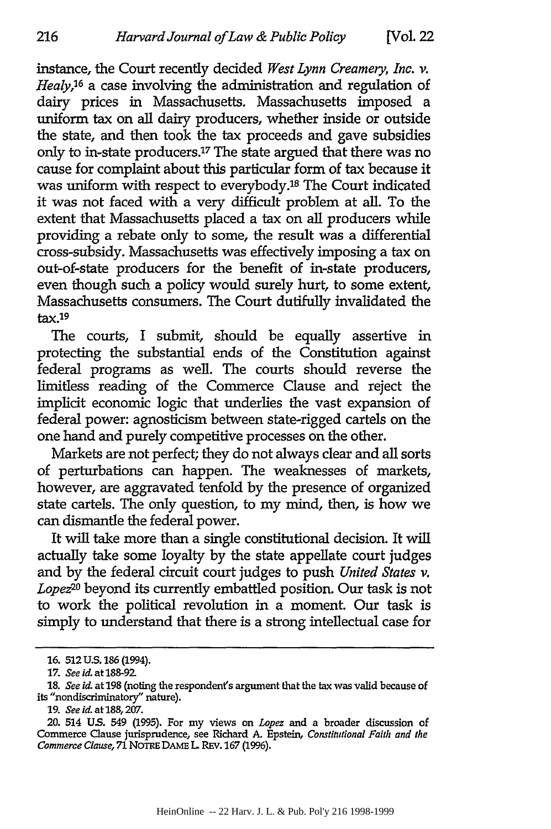instance, the Court recently decided *West Lynn Creamery, Inc. v. Healy,16* a case involving the administration and regulation of dairy prices in Massachusetts. Massachusetts imposed a uniform tax on all dairy producers, whether inside or outside the state, and then took the tax proceeds and gave subsidies only to in-state producers.'7 The state argued that there was no cause for complaint about this particular form of tax because it was uniform with respect to everybody.'8 The Court indicated it was not faced with a very difficult problem at all. To the extent that Massachusetts placed a tax on all producers while providing a rebate only to some, the result was a differential cross-subsidy. Massachusetts was effectively imposing a tax on out-of-state producers for the benefit of in-state producers, even though such a policy would surely hurt, to some extent, Massachusetts consumers. The Court dutifully invalidated the tax.19

The courts, I submit, should be equally assertive in protecting the substantial ends of the Constitution against federal programs as well. The courts should reverse the limitless reading of the Commerce Clause and reject the implicit economic logic that underlies the vast expansion of federal power: agnosticism between state-rigged cartels on the one hand and purely competitive processes on the other.

Markets are not perfect; they do not always clear and all sorts of perturbations can happen. The weaknesses of markets, however, are aggravated tenfold by the presence of organized state cartels. The only question, to my mind, then, is how we can dismantle the federal power.

It will take more than a single constitutional decision. It will actually take some loyalty by the state appellate court judges and by the federal circuit court judges to push *United States v. Lopez20* beyond its currently embattled position. Our task is not to work the political revolution in a moment. Our task is simply to understand that there is a strong intellectual case for

216

**<sup>16. 512</sup> U.S.** 186 (1994).

**<sup>17.</sup>** *See id.* at 188-92

**<sup>18.</sup>** *See id.* at **198** (noting the respondent's argument that the tax was valid because of its "nondiscriminatory" nature).

*<sup>19.</sup> See id.* at 188,207.

<sup>20. 514</sup> **US.** 549 **(1995).** For my views on *Lopez* **and** a broader discussion of Commerce Clause jurisprudence, see Richard **A.** Epstein, *Constitutional Faith and the Commerce Clause,* **71 NOTRE DAME L.** REV. **167 (1996).**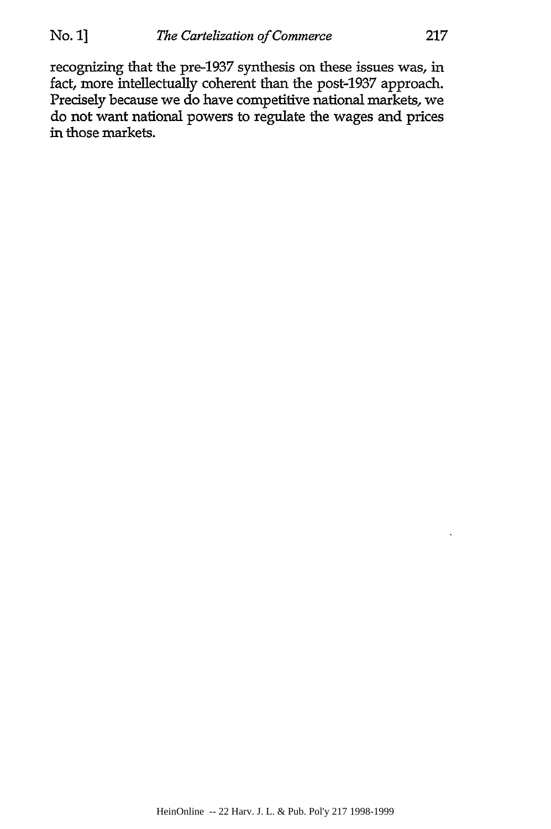recognizing that the pre-1937 synthesis on these issues was, in fact, more intellectually coherent than the post-1937 approach. Precisely because we do have competitive national markets, we do not want national powers to regulate the wages and prices in those markets.